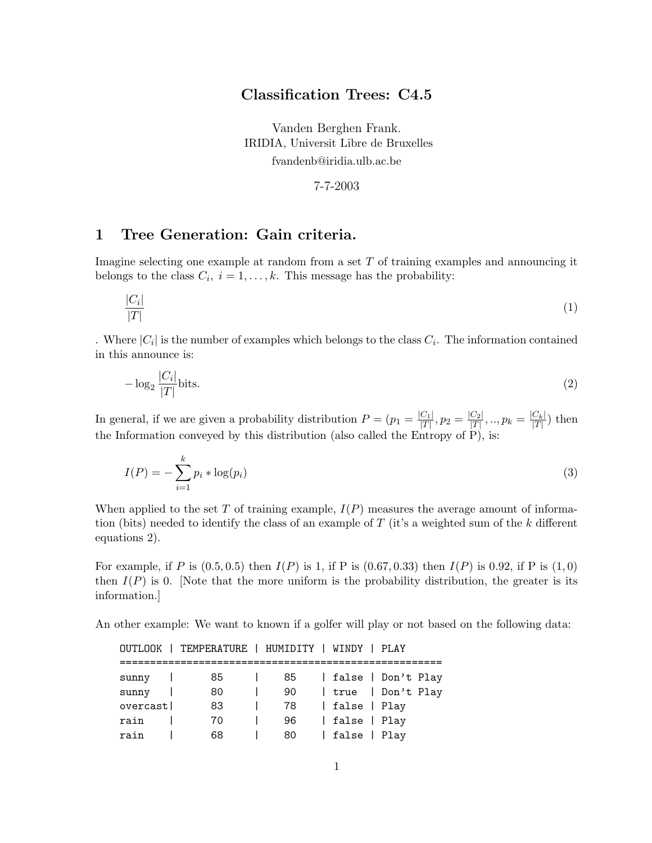# Classification Trees: C4.5

Vanden Berghen Frank. IRIDIA, Universit Libre de Bruxelles fvandenb@iridia.ulb.ac.be

7-7-2003

# 1 Tree Generation: Gain criteria.

Imagine selecting one example at random from a set  $T$  of training examples and announcing it belongs to the class  $C_i$ ,  $i = 1, ..., k$ . This message has the probability:

$$
\frac{|C_i|}{|T|}\tag{1}
$$

. Where  $|C_i|$  is the number of examples which belongs to the class  $C_i$ . The information contained in this announce is:

$$
-\log_2\frac{|C_i|}{|T|}\text{bits.}\tag{2}
$$

In general, if we are given a probability distribution  $P = (p_1 = \frac{|C_1|}{|T|})$  $\frac{|C_1|}{|T|}, p_2 = \frac{|C_2|}{|T|}$  $\frac{|C_2|}{|T|},..,p_k = \frac{|C_k|}{|T|}$  $\frac{C_k}{|T|}$  then the Information conveyed by this distribution (also called the Entropy of P), is:

$$
I(P) = -\sum_{i=1}^{k} p_i * \log(p_i)
$$
 (3)

When applied to the set T of training example,  $I(P)$  measures the average amount of information (bits) needed to identify the class of an example of  $T$  (it's a weighted sum of the k different equations 2).

For example, if P is  $(0.5, 0.5)$  then  $I(P)$  is 1, if P is  $(0.67, 0.33)$  then  $I(P)$  is 0.92, if P is  $(1, 0)$ then  $I(P)$  is 0. [Note that the more uniform is the probability distribution, the greater is its information.]

An other example: We want to known if a golfer will play or not based on the following data:

|          | OUTLOOK   TEMPERATURE   HUMIDITY   WINDY   PLAY |    |              |                    |
|----------|-------------------------------------------------|----|--------------|--------------------|
| sunny    | 85                                              | 85 |              | false   Don't Play |
| sunny    | 80                                              | 90 |              | true   Don't Play  |
| overcast | 83                                              | 78 | false   Play |                    |
| rain     | 70                                              | 96 | false   Play |                    |
| rain     | 68                                              | 80 | false   Play |                    |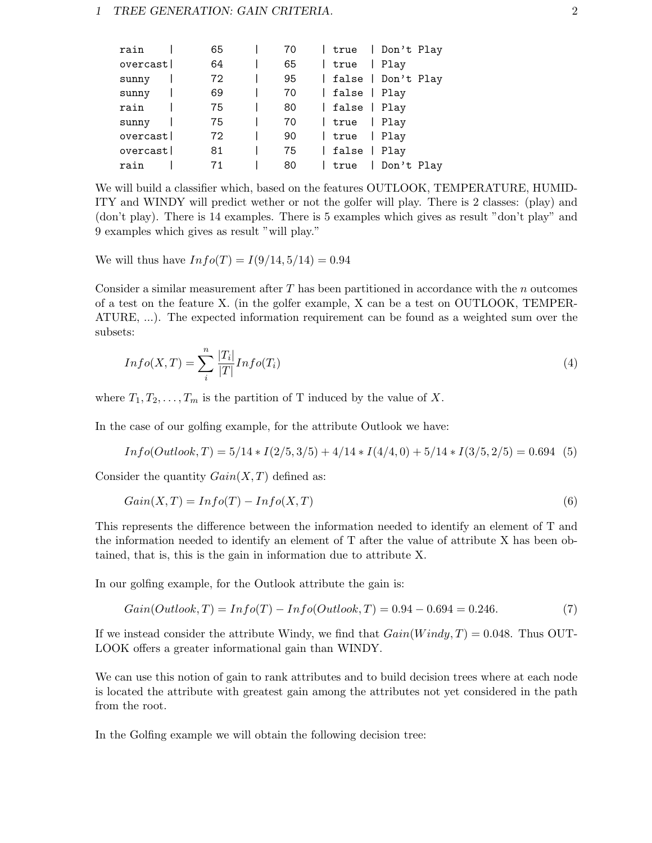#### 1 TREE GENERATION: GAIN CRITERIA. 2

| rain     | 65 | 70 |              | true   Don't Play    |
|----------|----|----|--------------|----------------------|
| overcast | 64 | 65 | true         | Play<br>$\mathbf{L}$ |
| sunny    | 72 | 95 |              | false   Don't Play   |
| sunny    | 69 | 70 | false   Play |                      |
| rain     | 75 | 80 | false   Play |                      |
| sunny    | 75 | 70 | true         | Play<br>$\mathbf{L}$ |
| overcast | 72 | 90 | true         | Play                 |
| overcast | 81 | 75 | false   Play |                      |
| rain     | 71 | 80 | true         | Don't Play           |

We will build a classifier which, based on the features OUTLOOK, TEMPERATURE, HUMID-ITY and WINDY will predict wether or not the golfer will play. There is 2 classes: (play) and (don't play). There is 14 examples. There is 5 examples which gives as result "don't play" and 9 examples which gives as result "will play."

We will thus have  $Info(T) = I(9/14, 5/14) = 0.94$ 

Consider a similar measurement after  $T$  has been partitioned in accordance with the  $n$  outcomes of a test on the feature X. (in the golfer example, X can be a test on OUTLOOK, TEMPER-ATURE, ...). The expected information requirement can be found as a weighted sum over the subsets:

$$
Info(X, T) = \sum_{i}^{n} \frac{|T_i|}{|T|} Info(T_i)
$$
\n
$$
(4)
$$

where  $T_1, T_2, \ldots, T_m$  is the partition of T induced by the value of X.

In the case of our golfing example, for the attribute Outlook we have:

$$
Info(Outlook, T) = 5/14 * I(2/5, 3/5) + 4/14 * I(4/4, 0) + 5/14 * I(3/5, 2/5) = 0.694
$$
 (5)

Consider the quantity  $Gain(X, T)$  defined as:

$$
Gain(X, T) = Info(T) - Info(X, T)
$$
\n(6)

This represents the difference between the information needed to identify an element of T and the information needed to identify an element of T after the value of attribute X has been obtained, that is, this is the gain in information due to attribute X.

In our golfing example, for the Outlook attribute the gain is:

$$
Gain(Outlook, T) = Info(T) - Info(Outlook, T) = 0.94 - 0.694 = 0.246.
$$
\n(7)

If we instead consider the attribute Windy, we find that  $Gain(Window, T) = 0.048$ . Thus OUT-LOOK offers a greater informational gain than WINDY.

We can use this notion of gain to rank attributes and to build decision trees where at each node is located the attribute with greatest gain among the attributes not yet considered in the path from the root.

In the Golfing example we will obtain the following decision tree: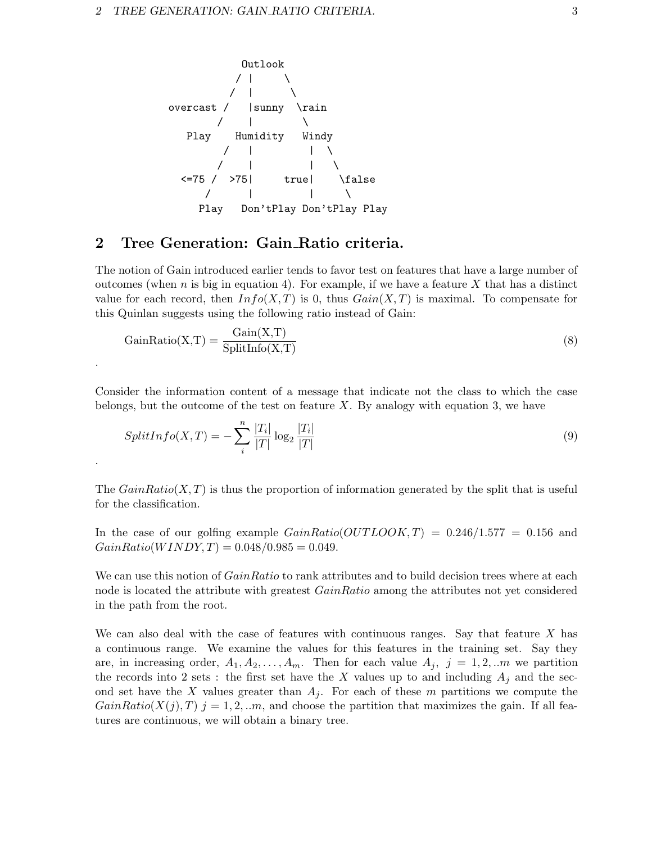

### 2 Tree Generation: Gain Ratio criteria.

.

.

The notion of Gain introduced earlier tends to favor test on features that have a large number of outcomes (when n is big in equation 4). For example, if we have a feature X that has a distinct value for each record, then  $Info(X, T)$  is 0, thus  $Gain(X, T)$  is maximal. To compensate for this Quinlan suggests using the following ratio instead of Gain:

$$
GainRatio(X, T) = \frac{Gain(X, T)}{SplitInfo(X, T)}
$$
\n(8)

Consider the information content of a message that indicate not the class to which the case belongs, but the outcome of the test on feature  $X$ . By analogy with equation 3, we have

$$
SplitInfo(X, T) = -\sum_{i}^{n} \frac{|T_i|}{|T|} \log_2 \frac{|T_i|}{|T|}
$$
\n
$$
(9)
$$

The  $GainRatio(X, T)$  is thus the proportion of information generated by the split that is useful for the classification.

In the case of our golfing example  $GainRatio(OUTLOOK, T) = 0.246/1.577 = 0.156$  and  $GainRatio(WINDY, T) = 0.048/0.985 = 0.049.$ 

We can use this notion of *GainRatio* to rank attributes and to build decision trees where at each node is located the attribute with greatest  $GainRatio$  among the attributes not yet considered in the path from the root.

We can also deal with the case of features with continuous ranges. Say that feature  $X$  has a continuous range. We examine the values for this features in the training set. Say they are, in increasing order,  $A_1, A_2, \ldots, A_m$ . Then for each value  $A_j$ ,  $j = 1, 2, \ldots m$  we partition the records into 2 sets : the first set have the X values up to and including  $A_j$  and the second set have the X values greater than  $A_j$ . For each of these m partitions we compute the  $GainRatio(X(j), T)$   $j = 1, 2, ...m$ , and choose the partition that maximizes the gain. If all features are continuous, we will obtain a binary tree.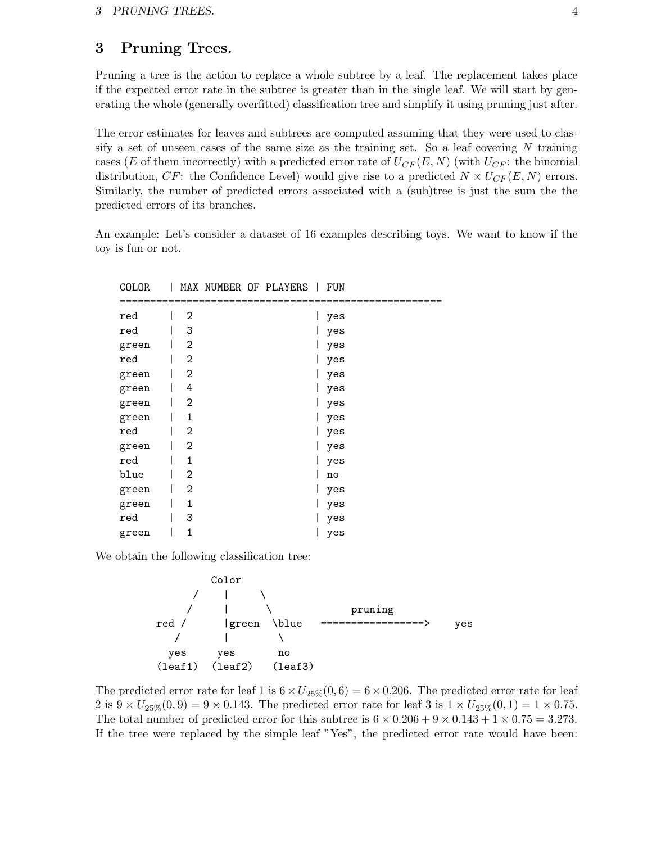# 3 Pruning Trees.

Pruning a tree is the action to replace a whole subtree by a leaf. The replacement takes place if the expected error rate in the subtree is greater than in the single leaf. We will start by generating the whole (generally overfitted) classification tree and simplify it using pruning just after.

The error estimates for leaves and subtrees are computed assuming that they were used to classify a set of unseen cases of the same size as the training set. So a leaf covering  $N$  training cases (E of them incorrectly) with a predicted error rate of  $U_{CF}(E, N)$  (with  $U_{CF}$ : the binomial distribution, CF: the Confidence Level) would give rise to a predicted  $N \times U_{CF}(E, N)$  errors. Similarly, the number of predicted errors associated with a (sub)tree is just the sum the the predicted errors of its branches.

An example: Let's consider a dataset of 16 examples describing toys. We want to know if the toy is fun or not.

| ິ          |                |          | $\mathbf{I}$ | <b>A</b> VAT     |
|------------|----------------|----------|--------------|------------------|
| ========== |                | ======== |              | ================ |
| red        | $\mathbf{2}$   |          |              | yes              |
| red        | 3              |          |              | yes              |
| green      | 2              |          |              | yes              |
| red        | 2              |          |              | yes              |
| green      | $\mathbf{2}$   |          |              | yes              |
| green      | 4              |          |              | yes              |
| green      | $\overline{2}$ |          |              | yes              |
| green      | 1              |          |              | yes              |
| red        | 2              |          |              | yes              |
| green      | $\overline{2}$ |          |              | yes              |
| red        | 1              |          |              | yes              |
| blue       | $\overline{2}$ |          |              | no               |
| green      | 2              |          |              | yes              |
| green      | 1              |          |              | yes              |
| red        | 3              |          |              | yes              |
| green      | 1              |          |              | yes              |

COLOR | MAX NUMBER OF PLAYERS | FUN

We obtain the following classification tree:



The predicted error rate for leaf 1 is  $6 \times U_{25\%}(0, 6) = 6 \times 0.206$ . The predicted error rate for leaf 2 is  $9 \times U_{25\%}(0,9) = 9 \times 0.143$ . The predicted error rate for leaf 3 is  $1 \times U_{25\%}(0,1) = 1 \times 0.75$ . The total number of predicted error for this subtree is  $6 \times 0.206 + 9 \times 0.143 + 1 \times 0.75 = 3.273$ . If the tree were replaced by the simple leaf "Yes", the predicted error rate would have been: